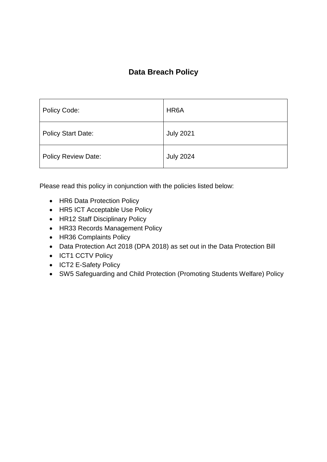### **Data Breach Policy**

| Policy Code:               | HR <sub>6</sub> A |
|----------------------------|-------------------|
| <b>Policy Start Date:</b>  | <b>July 2021</b>  |
| <b>Policy Review Date:</b> | <b>July 2024</b>  |

Please read this policy in conjunction with the policies listed below:

- HR6 Data Protection Policy
- HR5 ICT Acceptable Use Policy
- HR12 Staff Disciplinary Policy
- HR33 Records Management Policy
- HR36 Complaints Policy
- Data Protection Act 2018 (DPA 2018) as set out in the Data Protection Bill
- ICT1 CCTV Policy
- ICT2 E-Safety Policy
- SW5 Safeguarding and Child Protection (Promoting Students Welfare) Policy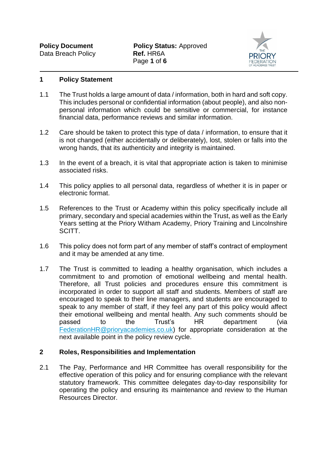

#### **1 Policy Statement**

- 1.1 The Trust holds a large amount of data / information, both in hard and soft copy. This includes personal or confidential information (about people), and also nonpersonal information which could be sensitive or commercial, for instance financial data, performance reviews and similar information.
- 1.2 Care should be taken to protect this type of data / information, to ensure that it is not changed (either accidentally or deliberately), lost, stolen or falls into the wrong hands, that its authenticity and integrity is maintained.
- 1.3 In the event of a breach, it is vital that appropriate action is taken to minimise associated risks.
- 1.4 This policy applies to all personal data, regardless of whether it is in paper or electronic format.
- 1.5 References to the Trust or Academy within this policy specifically include all primary, secondary and special academies within the Trust, as well as the Early Years setting at the Priory Witham Academy, Priory Training and Lincolnshire SCITT.
- 1.6 This policy does not form part of any member of staff's contract of employment and it may be amended at any time.
- 1.7 The Trust is committed to leading a healthy organisation, which includes a commitment to and promotion of emotional wellbeing and mental health. Therefore, all Trust policies and procedures ensure this commitment is incorporated in order to support all staff and students. Members of staff are encouraged to speak to their line managers, and students are encouraged to speak to any member of staff, if they feel any part of this policy would affect their emotional wellbeing and mental health. Any such comments should be passed to the Trust's HR department (via [FederationHR@prioryacademies.co.uk\)](mailto:FederationHR@prioryacademies.co.uk) for appropriate consideration at the next available point in the policy review cycle.

#### **2 Roles, Responsibilities and Implementation**

2.1 The Pay, Performance and HR Committee has overall responsibility for the effective operation of this policy and for ensuring compliance with the relevant statutory framework. This committee delegates day-to-day responsibility for operating the policy and ensuring its maintenance and review to the Human Resources Director.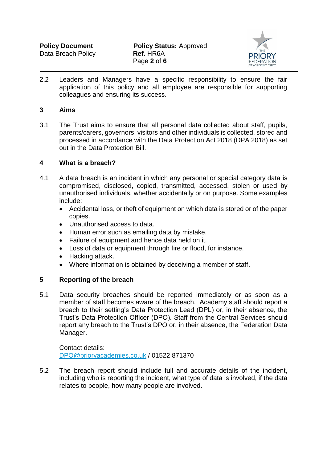

2.2 Leaders and Managers have a specific responsibility to ensure the fair application of this policy and all employee are responsible for supporting colleagues and ensuring its success.

#### **3 Aims**

3.1 The Trust aims to ensure that all personal data collected about staff, pupils, parents/carers, governors, visitors and other individuals is collected, stored and processed in accordance with the Data Protection Act 2018 (DPA 2018) as set out in the Data Protection Bill.

#### **4 What is a breach?**

- 4.1 A data breach is an incident in which any personal or special category data is compromised, disclosed, copied, transmitted, accessed, stolen or used by unauthorised individuals, whether accidentally or on purpose. Some examples include:
	- Accidental loss, or theft of equipment on which data is stored or of the paper copies.
	- Unauthorised access to data.
	- Human error such as emailing data by mistake.
	- Failure of equipment and hence data held on it.
	- Loss of data or equipment through fire or flood, for instance.
	- Hacking attack.
	- Where information is obtained by deceiving a member of staff.

#### **5 Reporting of the breach**

5.1 Data security breaches should be reported immediately or as soon as a member of staff becomes aware of the breach. Academy staff should report a breach to their setting's Data Protection Lead (DPL) or, in their absence, the Trust's Data Protection Officer (DPO). Staff from the Central Services should report any breach to the Trust's DPO or, in their absence, the Federation Data Manager.

Contact details: [DPO@prioryacademies.co.uk](mailto:DPO@prioryacademies.co.uk) / 01522 871370

5.2 The breach report should include full and accurate details of the incident, including who is reporting the incident, what type of data is involved, if the data relates to people, how many people are involved.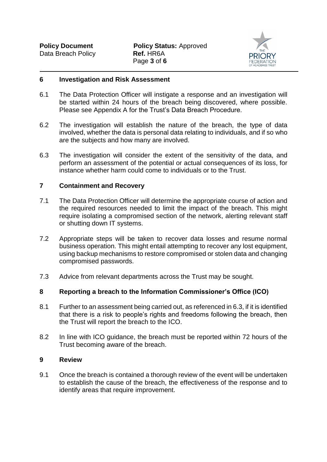

#### **6 Investigation and Risk Assessment**

- 6.1 The Data Protection Officer will instigate a response and an investigation will be started within 24 hours of the breach being discovered, where possible. Please see Appendix A for the Trust's Data Breach Procedure.
- 6.2 The investigation will establish the nature of the breach, the type of data involved, whether the data is personal data relating to individuals, and if so who are the subjects and how many are involved.
- 6.3 The investigation will consider the extent of the sensitivity of the data, and perform an assessment of the potential or actual consequences of its loss, for instance whether harm could come to individuals or to the Trust.

#### **7 Containment and Recovery**

- 7.1 The Data Protection Officer will determine the appropriate course of action and the required resources needed to limit the impact of the breach. This might require isolating a compromised section of the network, alerting relevant staff or shutting down IT systems.
- 7.2 Appropriate steps will be taken to recover data losses and resume normal business operation. This might entail attempting to recover any lost equipment, using backup mechanisms to restore compromised or stolen data and changing compromised passwords.
- 7.3 Advice from relevant departments across the Trust may be sought.

#### **8 Reporting a breach to the Information Commissioner's Office (ICO)**

- 8.1 Further to an assessment being carried out, as referenced in 6.3, if it is identified that there is a risk to people's rights and freedoms following the breach, then the Trust will report the breach to the ICO.
- 8.2 In line with ICO guidance, the breach must be reported within 72 hours of the Trust becoming aware of the breach.

#### **9 Review**

9.1 Once the breach is contained a thorough review of the event will be undertaken to establish the cause of the breach, the effectiveness of the response and to identify areas that require improvement.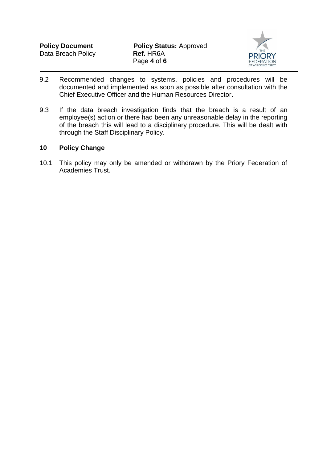

- 9.2 Recommended changes to systems, policies and procedures will be documented and implemented as soon as possible after consultation with the Chief Executive Officer and the Human Resources Director.
- 9.3 If the data breach investigation finds that the breach is a result of an employee(s) action or there had been any unreasonable delay in the reporting of the breach this will lead to a disciplinary procedure. This will be dealt with through the Staff Disciplinary Policy.

#### **10 Policy Change**

10.1 This policy may only be amended or withdrawn by the Priory Federation of Academies Trust.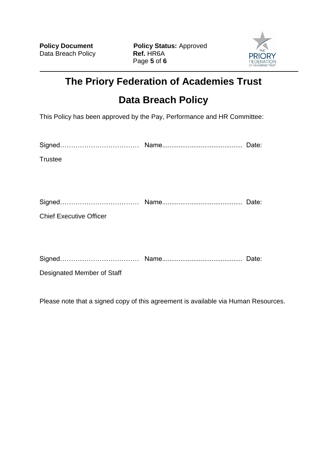

# **The Priory Federation of Academies Trust**

## **Data Breach Policy**

This Policy has been approved by the Pay, Performance and HR Committee:

| <b>Trustee</b>                                                                                                                                                                                                                                         |               |
|--------------------------------------------------------------------------------------------------------------------------------------------------------------------------------------------------------------------------------------------------------|---------------|
|                                                                                                                                                                                                                                                        |               |
|                                                                                                                                                                                                                                                        |               |
|                                                                                                                                                                                                                                                        |               |
| <b>Chief Executive Officer</b>                                                                                                                                                                                                                         |               |
|                                                                                                                                                                                                                                                        |               |
|                                                                                                                                                                                                                                                        |               |
| and the contract of the contract of the contract of the contract of the contract of the contract of the contract of the contract of the contract of the contract of the contract of the contract of the contract of the contra<br>$\sim$ $\sim$ $\sim$ | $\sim$ $\sim$ |

Signed……………………………… Name............................................ Date:

Designated Member of Staff

Please note that a signed copy of this agreement is available via Human Resources.